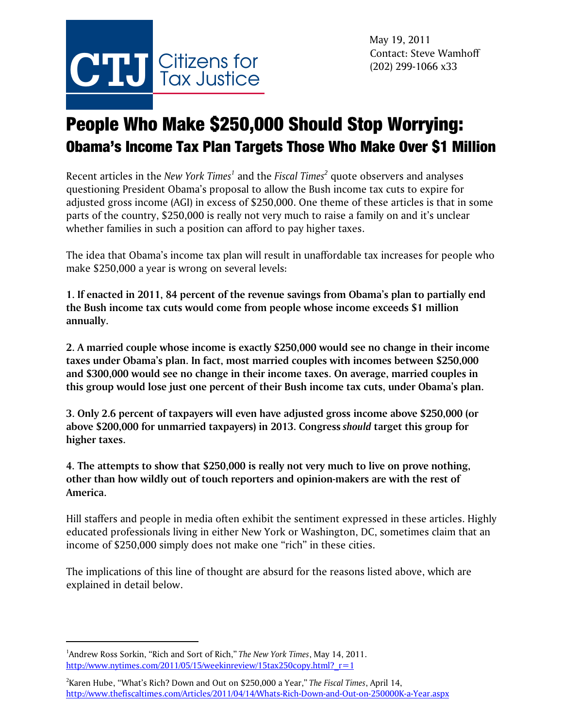

# People Who Make \$250,000 Should Stop Worrying: Obama's Income Tax Plan Targets Those Who Make Over \$1 Million

Recent articles in the *New York Times<sup>1</sup>* and the *Fiscal Times<sup>2</sup>* quote observers and analyses questioning President Obama's proposal to allow the Bush income tax cuts to expire for adjusted gross income (AGI) in excess of \$250,000. One theme of these articles is that in some parts of the country, \$250,000 is really not very much to raise a family on and it's unclear whether families in such a position can afford to pay higher taxes.

The idea that Obama's income tax plan will result in unaffordable tax increases for people who make \$250,000 a year is wrong on several levels:

**1. If enacted in 2011, 84 percent of the revenue savings from Obama's plan to partially end the Bush income tax cuts would come from people whose income exceeds \$1 million annually.** 

**2. A married couple whose income is exactly \$250,000 would see no change in their income taxes under Obama's plan. In fact, most married couples with incomes between \$250,000 and \$300,000 would see no change in their income taxes. On average, married couples in this group would lose just one percent of their Bush income tax cuts, under Obama's plan.** 

**3. Only 2.6 percent of taxpayers will even have adjusted gross income above \$250,000 (or above \$200,000 for unmarried taxpayers) in 2013. Congress** *should* **target this group for higher taxes.**

**4. The attempts to show that \$250,000 is really not very much to live on prove nothing, other than how wildly out of touch reporters and opinion-makers are with the rest of America.**

Hill staffers and people in media often exhibit the sentiment expressed in these articles. Highly educated professionals living in either New York or Washington, DC, sometimes claim that an income of \$250,000 simply does not make one "rich" in these cities.

The implications of this line of thought are absurd for the reasons listed above, which are explained in detail below.

<sup>1</sup> Andrew Ross Sorkin, "Rich and Sort of Rich," *The New York Times*, May 14, 2011. http://www.nytimes.com/2011/05/15/weekinreview/15tax250copy.html?  $r=1$ 

<sup>2</sup> Karen Hube, "What's Rich? Down and Out on \$250,000 a Year," *The Fiscal Times*, April 14, http://www.thefiscaltimes.com/Articles/2011/04/14/Whats-Rich-Down-and-Out-on-250000K-a-Year.aspx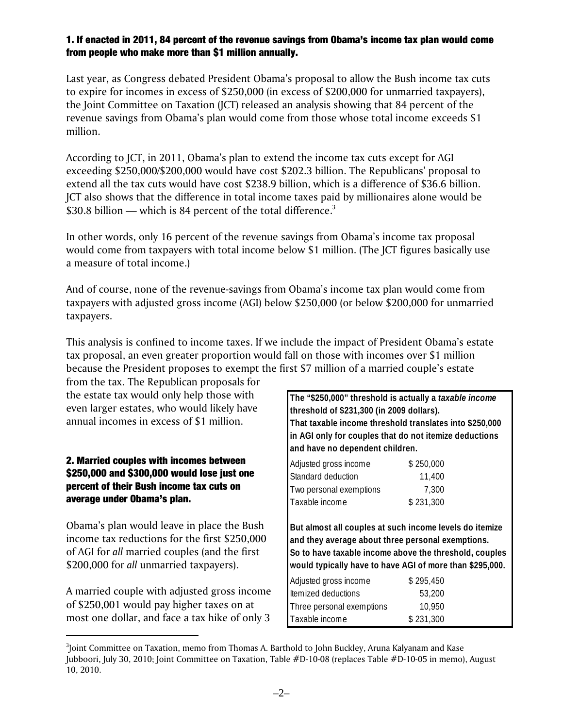#### 1. If enacted in 2011, 84 percent of the revenue savings from Obama's income tax plan would come from people who make more than \$1 million annually.

Last year, as Congress debated President Obama's proposal to allow the Bush income tax cuts to expire for incomes in excess of \$250,000 (in excess of \$200,000 for unmarried taxpayers), the Joint Committee on Taxation (JCT) released an analysis showing that 84 percent of the revenue savings from Obama's plan would come from those whose total income exceeds \$1 million.

According to JCT, in 2011, Obama's plan to extend the income tax cuts except for AGI exceeding \$250,000/\$200,000 would have cost \$202.3 billion. The Republicans' proposal to extend all the tax cuts would have cost \$238.9 billion, which is a difference of \$36.6 billion. JCT also shows that the difference in total income taxes paid by millionaires alone would be \$30.8 billion — which is 84 percent of the total difference.<sup>3</sup>

In other words, only 16 percent of the revenue savings from Obama's income tax proposal would come from taxpayers with total income below \$1 million. (The JCT figures basically use a measure of total income.)

And of course, none of the revenue-savings from Obama's income tax plan would come from taxpayers with adjusted gross income (AGI) below \$250,000 (or below \$200,000 for unmarried taxpayers.

This analysis is confined to income taxes. If we include the impact of President Obama's estate tax proposal, an even greater proportion would fall on those with incomes over \$1 million because the President proposes to exempt the first \$7 million of a married couple's estate

from the tax. The Republican proposals for the estate tax would only help those with even larger estates, who would likely have annual incomes in excess of \$1 million.

### 2. Married couples with incomes between \$250,000 and \$300,000 would lose just one percent of their Bush income tax cuts on average under Obama's plan.

Obama's plan would leave in place the Bush income tax reductions for the first \$250,000 of AGI for *all* married couples (and the first \$200,000 for *all* unmarried taxpayers).

A married couple with adjusted gross income of \$250,001 would pay higher taxes on at most one dollar, and face a tax hike of only 3

**The "\$250,000" threshold is actually a** *taxable income* **threshold of \$231,300 (in 2009 dollars). That taxable income threshold translates into \$250,000 in AGI only for couples that do not itemize deductions and have no dependent children.**

| Adjusted gross income   | \$250,000 |
|-------------------------|-----------|
| Standard deduction      | 11,400    |
| Two personal exemptions | 7.300     |
| Taxable income          | \$231,300 |

**But almost all couples at such income levels do itemize and they average about three personal exemptions. So to have taxable income above the threshold, couples would typically have to have AGI of more than \$295,000.**

| Adjusted gross income     | \$295,450 |
|---------------------------|-----------|
| ltemized deductions       | 53.200    |
| Three personal exemptions | 10,950    |
| Taxable income            | \$231,300 |
|                           |           |

 $^3$ Joint Committee on Taxation, memo from Thomas A. Barthold to John Buckley, Aruna Kalyanam and Kase Jubboori, July 30, 2010; Joint Committee on Taxation, Table #D-10-08 (replaces Table #D-10-05 in memo), August 10, 2010.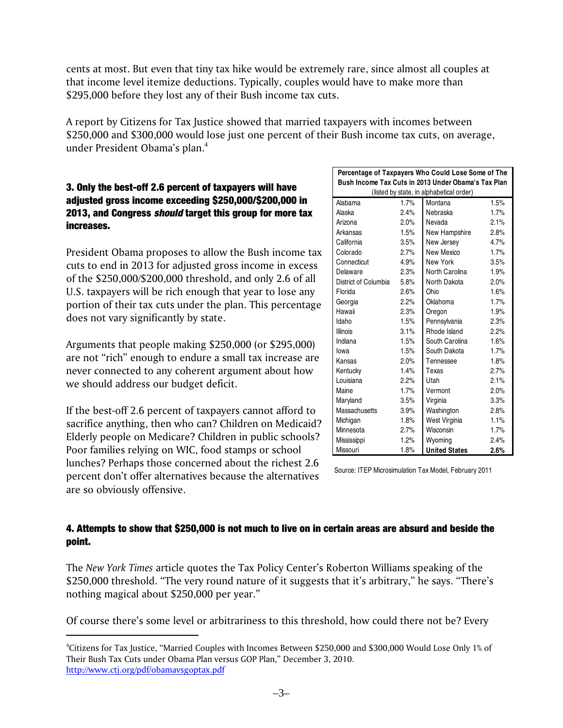cents at most. But even that tiny tax hike would be extremely rare, since almost all couples at that income level itemize deductions. Typically, couples would have to make more than \$295,000 before they lost any of their Bush income tax cuts.

A report by Citizens for Tax Justice showed that married taxpayers with incomes between \$250,000 and \$300,000 would lose just one percent of their Bush income tax cuts, on average, under President Obama's plan.4

### 3. Only the best-off 2.6 percent of taxpayers will have adjusted gross income exceeding \$250,000/\$200,000 in 2013, and Congress *should* target this group for more tax increases.

President Obama proposes to allow the Bush income tax cuts to end in 2013 for adjusted gross income in excess of the \$250,000/\$200,000 threshold, and only 2.6 of all U.S. taxpayers will be rich enough that year to lose any portion of their tax cuts under the plan. This percentage does not vary significantly by state.

Arguments that people making \$250,000 (or \$295,000) are not "rich" enough to endure a small tax increase are never connected to any coherent argument about how we should address our budget deficit.

If the best-off 2.6 percent of taxpayers cannot afford to sacrifice anything, then who can? Children on Medicaid? Elderly people on Medicare? Children in public schools? Poor families relying on WIC, food stamps or school lunches? Perhaps those concerned about the richest 2.6 percent don't offer alternatives because the alternatives are so obviously offensive.

| Percentage of Taxpayers Who Could Lose Some of The  |                                          |                      |      |  |  |
|-----------------------------------------------------|------------------------------------------|----------------------|------|--|--|
| Bush Income Tax Cuts in 2013 Under Obama's Tax Plan |                                          |                      |      |  |  |
|                                                     | (listed by state, in alphabetical order) |                      |      |  |  |
| Alabama                                             | 1.7%                                     | Montana              | 1.5% |  |  |
| Alaska                                              | 2.4%                                     | Nebraska             | 1.7% |  |  |
| Arizona                                             | 2.0%                                     | Nevada               | 2.1% |  |  |
| Arkansas                                            | 1.5%                                     | New Hampshire        | 2.8% |  |  |
| California                                          | 3.5%                                     | New Jersev           | 4.7% |  |  |
| Colorado                                            | 2.7%                                     | New Mexico           | 1.7% |  |  |
| Connecticut                                         | 4.9%                                     | New York             | 3.5% |  |  |
| Delaware                                            | 2.3%                                     | North Carolina       | 1.9% |  |  |
| District of Columbia                                | 5.8%                                     | North Dakota         | 2.0% |  |  |
| Florida                                             | 2.6%                                     | Ohio                 | 1.6% |  |  |
| Georgia                                             | 2.2%                                     | Oklahoma             | 1.7% |  |  |
| Hawaii                                              | 2.3%                                     | Oregon               | 1.9% |  |  |
| Idaho                                               | 1.5%                                     | Pennsylvania         | 2.3% |  |  |
| Illinois                                            | 3.1%                                     | Rhode Island         | 2.2% |  |  |
| Indiana                                             | 1.5%                                     | South Carolina       | 1.6% |  |  |
| lowa                                                | 1.5%                                     | South Dakota         | 1.7% |  |  |
| Kansas                                              | 2.0%                                     | Tennessee            | 1.8% |  |  |
| Kentucky                                            | 1.4%                                     | Texas                | 2.7% |  |  |
| Louisiana                                           | 2.2%                                     | Utah                 | 2.1% |  |  |
| Maine                                               | 1.7%                                     | Vermont              | 2.0% |  |  |
| Maryland                                            | 3.5%                                     | Virginia             | 3.3% |  |  |
| Massachusetts                                       | 3.9%                                     | Washington           | 2.8% |  |  |
| Michigan                                            | 1.8%                                     | West Virginia        | 1.1% |  |  |
| Minnesota                                           | 2.7%                                     | Wisconsin            | 1.7% |  |  |
| Mississippi                                         | 1.2%                                     | Wyoming              | 2.4% |  |  |
| Missouri                                            | 1.8%                                     | <b>United States</b> | 2.6% |  |  |

Source: ITEP Microsimulation Tax Model, February 2011

## 4. Attempts to show that \$250,000 is not much to live on in certain areas are absurd and beside the point.

The *New York Times* article quotes the Tax Policy Center's Roberton Williams speaking of the \$250,000 threshold. "The very round nature of it suggests that it's arbitrary," he says. "There's nothing magical about \$250,000 per year."

Of course there's some level or arbitrariness to this threshold, how could there not be? Every

<sup>4</sup> Citizens for Tax Justice, "Married Couples with Incomes Between \$250,000 and \$300,000 Would Lose Only 1% of Their Bush Tax Cuts under Obama Plan versus GOP Plan," December 3, 2010. http://www.ctj.org/pdf/obamavsgoptax.pdf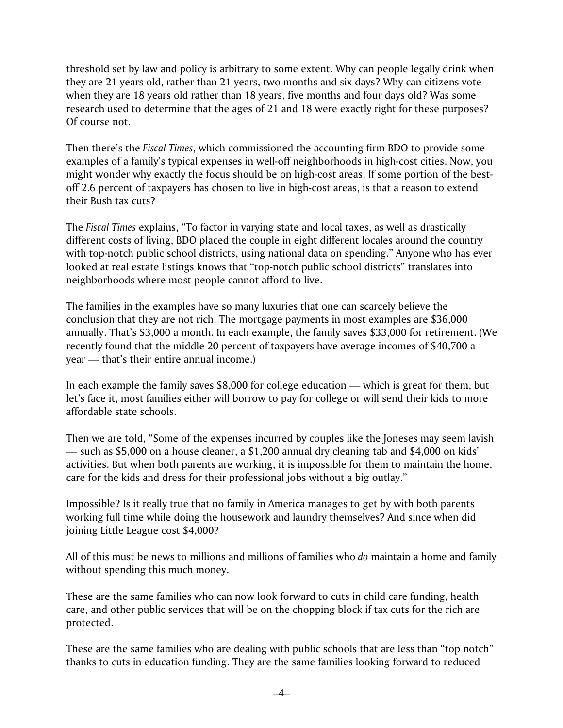threshold set by law and policy is arbitrary to some extent. Why can people legally drink when they are 21 years old, rather than 21 years, two months and six days? Why can citizens vote when they are 18 years old rather than 18 years, five months and four days old? Was some research used to determine that the ages of 21 and 18 were exactly right for these purposes? Of course not.

Then there's the *Fiscal Times*, which commissioned the accounting firm BDO to provide some examples of a family's typical expenses in well-off neighborhoods in high-cost cities. Now, you might wonder why exactly the focus should be on high-cost areas. If some portion of the bestoff 2.6 percent of taxpayers has chosen to live in high-cost areas, is that a reason to extend their Bush tax cuts?

The *Fiscal Times* explains, "To factor in varying state and local taxes, as well as drastically different costs of living, BDO placed the couple in eight different locales around the country with top-notch public school districts, using national data on spending." Anyone who has ever looked at real estate listings knows that "top-notch public school districts" translates into neighborhoods where most people cannot afford to live.

The families in the examples have so many luxuries that one can scarcely believe the conclusion that they are not rich. The mortgage payments in most examples are \$36,000 annually. That's \$3,000 a month. In each example, the family saves \$33,000 for retirement. (We recently found that the middle 20 percent of taxpayers have average incomes of \$40,700 a year — that's their entire annual income.)

In each example the family saves \$8,000 for college education — which is great for them, but let's face it, most families either will borrow to pay for college or will send their kids to more affordable state schools.

Then we are told, "Some of the expenses incurred by couples like the Joneses may seem lavish — such as \$5,000 on a house cleaner, a \$1,200 annual dry cleaning tab and \$4,000 on kids' activities. But when both parents are working, it is impossible for them to maintain the home, care for the kids and dress for their professional jobs without a big outlay."

Impossible? Is it really true that no family in America manages to get by with both parents working full time while doing the housework and laundry themselves? And since when did joining Little League cost \$4,000?

All of this must be news to millions and millions of families who *do* maintain a home and family without spending this much money.

These are the same families who can now look forward to cuts in child care funding, health care, and other public services that will be on the chopping block if tax cuts for the rich are protected.

These are the same families who are dealing with public schools that are less than "top notch" thanks to cuts in education funding. They are the same families looking forward to reduced